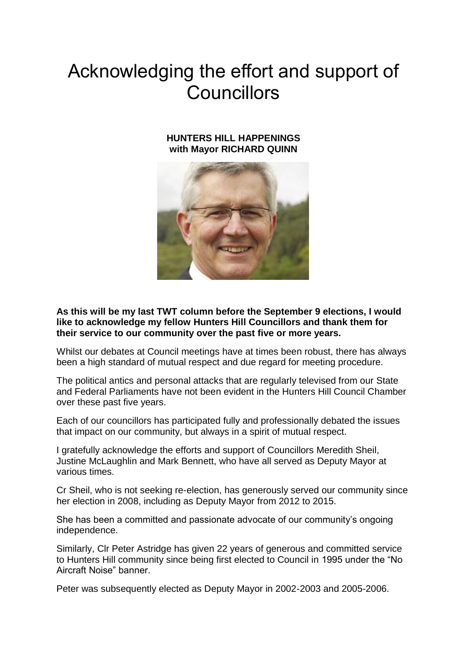## Acknowledging the effort and support of Councillors

## **HUNTERS HILL HAPPENINGS with Mayor RICHARD QUINN**



**As this will be my last TWT column before the September 9 elections, I would like to acknowledge my fellow Hunters Hill Councillors and thank them for their service to our community over the past five or more years.**

Whilst our debates at Council meetings have at times been robust, there has always been a high standard of mutual respect and due regard for meeting procedure.

The political antics and personal attacks that are regularly televised from our State and Federal Parliaments have not been evident in the Hunters Hill Council Chamber over these past five years.

Each of our councillors has participated fully and professionally debated the issues that impact on our community, but always in a spirit of mutual respect.

I gratefully acknowledge the efforts and support of Councillors Meredith Sheil, Justine McLaughlin and Mark Bennett, who have all served as Deputy Mayor at various times.

Cr Sheil, who is not seeking re-election, has generously served our community since her election in 2008, including as Deputy Mayor from 2012 to 2015.

She has been a committed and passionate advocate of our community's ongoing independence.

Similarly, Clr Peter Astridge has given 22 years of generous and committed service to Hunters Hill community since being first elected to Council in 1995 under the "No Aircraft Noise" banner.

Peter was subsequently elected as Deputy Mayor in 2002-2003 and 2005-2006.